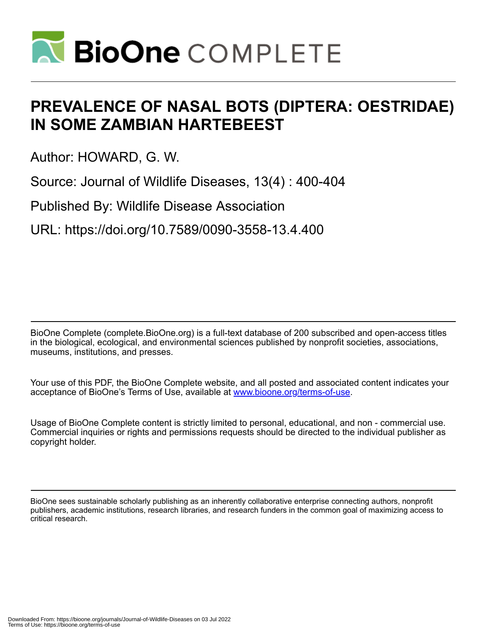

# **PREVALENCE OF NASAL BOTS (DIPTERA: OESTRIDAE) IN SOME ZAMBIAN HARTEBEEST**

Author: HOWARD, G. W.

Source: Journal of Wildlife Diseases, 13(4) : 400-404

Published By: Wildlife Disease Association

URL: https://doi.org/10.7589/0090-3558-13.4.400

BioOne Complete (complete.BioOne.org) is a full-text database of 200 subscribed and open-access titles in the biological, ecological, and environmental sciences published by nonprofit societies, associations, museums, institutions, and presses.

Your use of this PDF, the BioOne Complete website, and all posted and associated content indicates your acceptance of BioOne's Terms of Use, available at www.bioone.org/terms-of-use.

Usage of BioOne Complete content is strictly limited to personal, educational, and non - commercial use. Commercial inquiries or rights and permissions requests should be directed to the individual publisher as copyright holder.

BioOne sees sustainable scholarly publishing as an inherently collaborative enterprise connecting authors, nonprofit publishers, academic institutions, research libraries, and research funders in the common goal of maximizing access to critical research.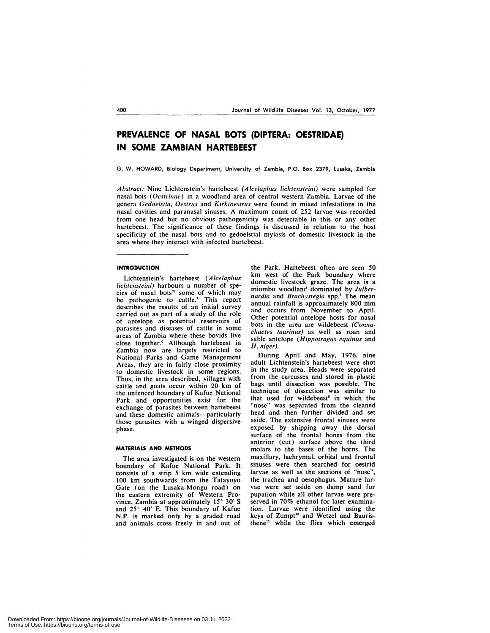# **PREVALENCE OF NASAL BOTS (DIPTERA: OESTRIDAE) IN SOME ZAMBIAN HARTEBEEST**

G. W. HOWARD, Biology Department, University of Zambia, P.O. Box 2379, Lusaka, Zambia

*Abstract:* Nine Lichtenstein's hartebeest *(Alcelap/ius lichtcnsteini)* were sampled for nasal bots *(Ocstrinae)* in a woodland area of central western Zambia. Larvae of the genera *Gedoc/stia, Oestrus* and *Kirkioestrus* were found in mixed infestations in the nasal cavities and paranasal sinuses. A maximum count of 252 larvae was recorded from one head but no obvious pathogenicity was detectable in this or any other hartebeest. The significance of these findings is discussed in relation to the host specificity of the nasal bots and to gedoelstial myiasis of domestic livestock in the area where they interact with infected hartebeest.

#### **INTRODUCTION**

Lichtenstein's hartebeest *(A/cc/ap/ius /ic/itenslcini)* harbours a number of species of nasal bots<sup>33</sup> some of which may be pathogenic to cattle.' This report describes the results of an initial survey carried out as part of a study of the role of antelope as potential reservoirs of parasites and diseases of cattle in some areas of Zambia where these bovids live close together.<sup>6</sup> Although hartebeest in Zambia now are largely restricted to National Parks and Game Management Areas, they are in fairly close proximity to domestic livestock in some regions. Thus, in the area described, villages with cattle and goats occur within 20 km of the unfenced boundary of Kafue National Park and opportunities exist for the exchange of parasites between hartebeest and these domestic animals--particularly those parasites with a winged dispersive phase.

## **MATERIALS AND METHODS**

The area investigated is on the western boundary of Kafue National Park. It consists of a strip 5 km wide extending 100 km southwards from the Tatayoyo Gate (on the Lusaka-Mongu road) on the eastern extremity of Western Province, Zambia at approximately 15° 30' S and  $25^{\circ}$  40' E. This boundary of Kafue NP. is marked only by a graded road and animals cross freely in and out of

the Park. Hartebeest often are seen 50 km west of the Park boundary where domestic livestock graze. The area is a miombo woodland dominated by *Julbernardia* and *Brachystegia* spp.<sup>5</sup> The mean annual rainfall is approximately 800 mm and occurs from November to April. Other potential antelope hosts for nasal bots in the area are wildebeest *(Connachaetes taurinus*) as well as roan and sable antelope (Hippotragus equinus and *H. niger).*

During April and May, 1976, nine adult Lichtenstein's hartebeest were shot in the study area. Heads were separated from the carcasses and stored in plastic bags until dissection was possible. The technique of dissection was similar to that used for wildebeest<sup>6</sup> in which the "nose" was separated from the cleaned head and then further divided and set aside. The extensive frontal sinuses were exposed by shipping away the dorsal surface of the frontal bones from the anterior (cut) surface above the third molars to the bases of the horns. The maxillary, lachrymal, orbital and frontal sinuses were then searched for oestrid larvae as well as the sections of "nose", the trachea and oesophagus. Mature lar vae were set aside on damp sand for pupation while all other larvae were preserved in 70% ethanol for later examination. Larvae were identified using the keys of Zumpt<sup>13</sup> and Wetzel and Bauristhene" while the flies which emerged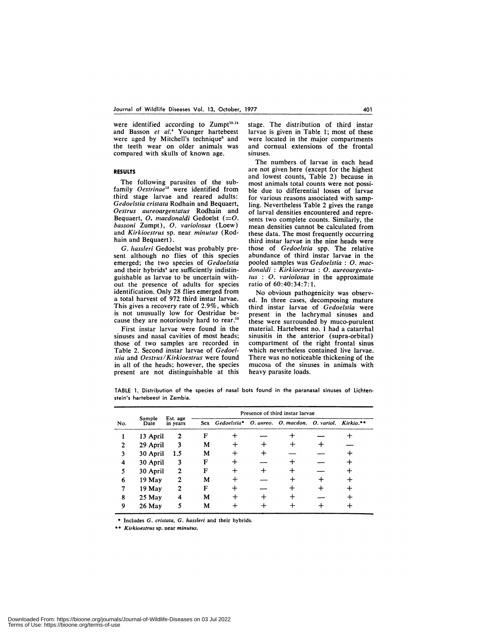were identified according to  $Zump<sup>13,14</sup>$ and Basson *ci al.4* Younger hartebeest were aged by Mitchell's technique<sup>8</sup> and the teeth wear on older animals was compared with skulls of known age.

# **RESULTS**

The following parasites of the subfamily *Ocstrinac"* were identified from third stage larvae and reared adults: *Gcdoclstia crislata* Rodham and Bequaert, *Ocstrus aureoargcntatus* Rodham and Bequaert, *0. macdona/di* Gedoelst *(=0. bassoni* Zumpt), *0. variolosus* (Loew) and Kirkioestrus sp. near minutus (Rodhain and Bequaert).

*G. Izass/eri* Gedoelst was probably pre sent although no flies of this species emerged; the two species of *Gcdoelstia* and their hybrids<sup>4</sup> are sufficiently indistinguishable as larvae to be uncertain with out the presence of adults for species identification. Only 28 flies emerged from a total harvest of 972 third instar larvae. This gives a recovery rate of 2.9%, which is not unusually low for Oestridae be cause they are notoriously hard to rear.<sup>13</sup>

First instar larvae were found in the sinuses and nasal cavities of most heads; those of two samples are recorded in Table 2. Second instar larvae of *Gcdocl stia* and *Ocstrus/Kirkioestrus* were found in all of the heads; however, the species present are not distinguishable at this

stage. The distribution of third instar larvae is given in Table 1; most of these were located in the major compartments and cornual extensions of the frontal sinuses.

The numbers of larvae in each head are not given here (except for the highest and lowest counts, Table 2) because in most animals total counts were not possible due to differential losses of larvae for various reasons associated with sampling. Nevertheless Table 2 gives the range of larval densities encountered and repre sents two complete counts. Similarly, the mean densities cannot be calculated from these data. The most frequently occurring third instar larvae in the nine heads were those of *Gcdoelstia* spp. The relative abundance of third instar larvae in the pooled samples was *Gedoclstia : 0. mac dona/di : Kirkiocstrus : 0. aureoargenta-Ins : 0. vario/osus* in the approximate ratio of 60:40:34:7: 1.

No obvious pathogenicity was observed. In three cases, decomposing mature third instar larvae of *Gcdoclstia* were present in the lachrymal sinuses and these were surrounded by muco-purulent material. Hartebeest no. 1 had a catarrhal sinusitis in the anterior (supra-orbital) compartment of the right frontal sinus which nevertheless contained live larvae. There was no noticeable thickening of the mucosa of the sinuses in animals with heavy parasite loads.

TABLE 1. Distribution of the species of nasal bots found in the paranasal sinuses of Lichten **stein's hartebeest in** Zambia.

| No. | Sample<br>Date | Est. age<br>in years | Presence of third instar larvae |                                                           |  |  |  |  |  |
|-----|----------------|----------------------|---------------------------------|-----------------------------------------------------------|--|--|--|--|--|
|     |                |                      |                                 | Sex Gedoelstia* O. aureo. O. macdon. O. variol. Kirkio.** |  |  |  |  |  |
|     | 13 April       | 2                    | F                               |                                                           |  |  |  |  |  |
| 2   | 29 April       | 3                    | M                               |                                                           |  |  |  |  |  |
| 3   | 30 April       | 1.5                  | М                               |                                                           |  |  |  |  |  |
| 4   | 30 April       | 3                    | F                               |                                                           |  |  |  |  |  |
| 5   | 30 April       | $\mathbf{2}$         | F                               |                                                           |  |  |  |  |  |
| 6   | 19 May         | $\mathbf{2}$         | М                               |                                                           |  |  |  |  |  |
| 7   | 19 May         | 2                    | F                               |                                                           |  |  |  |  |  |
| 8   | $25$ May       | 4                    | M                               |                                                           |  |  |  |  |  |
| 9   | 26 May         |                      | M                               |                                                           |  |  |  |  |  |

\* Includes *G. cristata, G. hassleri* and their hybrids.

\*\* *Kirkioestrus* sp. near *minutus*.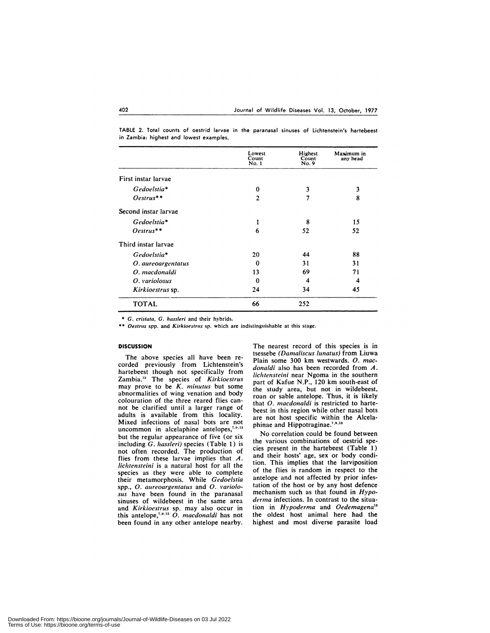TABLE 2. Total counts ot oestrid larvae in the paranasal sinuses of Lichtenstein's hartebees<br>in Zambia: highest and lowest examples.

|                      | Lowest<br>Count<br>No. 1 | Highest<br>Count<br>No. 9 | Maximum in<br>any head |
|----------------------|--------------------------|---------------------------|------------------------|
| First instar larvae  |                          |                           |                        |
| Gedoelstia*          | $\bf{0}$                 | 3                         | 3                      |
| Oestrus**            | $\overline{2}$           | 7                         | 8                      |
| Second instar larvae |                          |                           |                        |
| Gedoelstia*          | 1                        | 8                         | 15                     |
| Oestrus**            | 6                        | 52                        | 52                     |
| Third instar larvae  |                          |                           |                        |
| Gedoelstia*          | 20                       | 44                        | 88                     |
| O. aureoargentatus   | $\Omega$                 | 31                        | 31                     |
| O. macdonaldi        | 13                       | 69                        | 71                     |
| O. variolosus        | $\Omega$                 | 4                         | 4                      |
| Kirkioestrus sp.     | 24                       | 34                        | 45                     |
| <b>TOTAL</b>         | 66                       | 252                       |                        |

\* *G. cristala, G. hassleri* and their hybrids.

\*\* Oestrus spp. and *Kirkioestrus* sp. which are indistinguishable at this stage.

### **DISCUSSION**

The above species all have been re corded previously from Lichtenstein's hartebeest though not specifically from Zambia." The species of *Kirkioestrus* may prove to be *K. minuttis* but some abnormalities of wing venation and body colouration of the three reared flies cannot be clarified until a larger range of adults is available from this locality. Mixed infections of nasal bots are not uncommon in alcelaphine antelopes, $7,9,13$ but the regular appearance of five (or six including *G. Izass/eri)* species (Table 1) is not often recorded. The production of flies from these larvae implies that *A. lichtensteini* is a natural host for all the species as they were able to complete their metamorphosis. While *Gcdoc/stia* spp., *0. aurcoargcntatus* and *0. variolo sus* have been found in the paranasal sinuses of wildebeest in the same area and *Kirkioestrus* sp. may also occur in this antelope,"8" *0. macdonaldi* has not been found in any other antelope nearby.

The nearest record of this species is in tsessebe *(Dama/iscus /unatus)* from Liuwa Plain some 300 km westwards. *0. mac dona/di* also has been recorded from *A. lichtensteini* near Ngoma in the southern part of Kafue N.P., 120 km south-east of the study area, but not in wildebeest, roan or sable antelope. Thus, it is likely that *O. macdonaldi* is restricted to hartebeest in this region while other nasal bots are not host specific within the Alcelaphinae and Hippotraginae.<sup>7,9,13</sup>

No correlation could be found between the various combinations of oestrid species present in the hartebeest (Table 1) and their hosts' age, sex or body condition. This implies that the larviposition of the flies is random in respect to the antelope and not affected by prior infestation of the host or by any host defence mechanism such as that found in *Hypo derma* infections. In contrast to the situation in *Hypodcrma* and *Oedcmagena"* the oldest host animal here had the highest and most diverse parasite load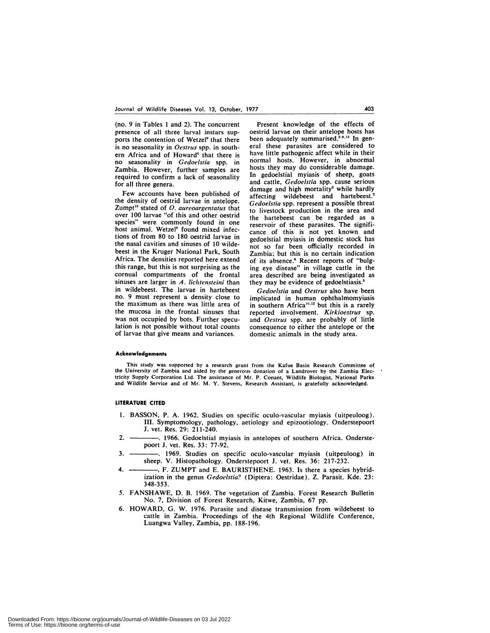(no. *9* in Tables 1 and 2). The concurrent presence of all three larval instars supports the contention of Wetzel<sup>9</sup> that there is no seasonality in *Ocstrus* spp. in south ern Africa and of Howard<sup>6</sup> that there is no seasonality in *Gcdoclstia* spp. in Zambia. However, further samples are required to confirm a lack of seasonality for all three genera.

Few accounts have been published of the density of oestrid larvae in antelope. Zumpt" stated of *0. aureoargentatus* that over 100 larvae "of this and other oestrid species" were commonly found in one host animal. Wetzel<sup>9</sup> found mixed infections of from 80 to 180 oestrid larvae in the nasal cavities and sinuses of 10 wildebeest in the Kruger National Park, South Africa. The densities reported here extend this range, but this is not surprising as the cornual compartments of the frontal sinuses are larger in *A. lichtensteini* than in wildebeest. The larvae in hartebeest no. 9 must represent a density close to the maximum as there was little area of the mucosa in the frontal sinuses that was not occupied by bots. Further speculation is not possible without total counts of larvae that give means and variances.

Present knowledge of the effects of oestrid larvae on their antelope hosts has been adequately summarised.<sup>2,9,13</sup> In general these parasites are considered to have little pathogenic affect while in their normal hosts. However, in abnormal hosts they may do considerable damage. In gedoelstial myiasis of sheep, goats and cattle, *Gcdoelstia* spp. cause serious damage and high mortality' while hardly affecting wildebeest and hartebeest.' *Gcdoclstia* spp. represent a possible threat to livestock production in the area and the hartebeest can be regarded as a reservoir of these parasites. The signifi cance of this is not yet known and gedoelstial myiasis in domestic stock has not so far been officially recorded in Zambia; but this is no certain indication of its absence.<sup>6</sup> Recent reports of "bulging eye disease" in village cattle in the area described are being investigated as they may be evidence of gedoelstiasis.'

*Gedoelstia* and *Oestrus* also have been implicated in human ophthalmomyiasis in southern Africa<sup>10,12</sup> but this is a rarely reported involvement. *Kirkioestrus* sp. and *Oestrus* spp. are probably of little consequence to either the antelope or the domestic animals in the study area.

#### **Acknowledgements**

This study was supported by a research grant from the Kafue Basin Research Committee of the University of Zambia and aided by the generous donation of a Landrover by the Zambia Electricity Supply Corporation Ltd. The assistance of Mr. P. Conant, Wildlife Biologist, National Parks and Wildlife Service and of Mr. M. Y. Stevens, Research Assistant, is gratefully acknowledged.

#### **LITERATURE CITED**

- 1. BASSON, P. A. 1962. Studies on specific oculo-vascular myiasis (uitpeuloog). III. Symptomology, pathology, aetiology and epizootiology. Onderstepoort J. vet. Res. 29: 211-240.
- 2. 1966. Gedoelstial myiasis in antelopes of southern Africa. Onderstepoort J. vet. Res. 33: 77-92.
- 3. . 1969. Studies on specific oculo-vascular myiasis (uitpeuloog) in sheep. V. Histopathology. Onderstepoort J. vet. Res. 36: 217-232.
- 4. **---------**, F. ZUMPT and E. BAURISTHENE. 1963. Is there a species hybridization in the genus *Gedoelstia?* (Diptera: Oestridae). Z. Parasit. Kde. 23: 348-353.
- 5. FANSHAWE, D. B. 1969. The vegetation of Zambia. Forest Research Bulletin No. 7, Division of Forest Research, Kitwe, Zambia, 67 pp.
- 6. HOWARD, G. W. 1976. Parasite and disease transmission from wildebeest to cattle in Zambia. Proceedings of the 4th Regional Wildlife Conference, Luangwa Valley, Zambia, pp. 188-196.